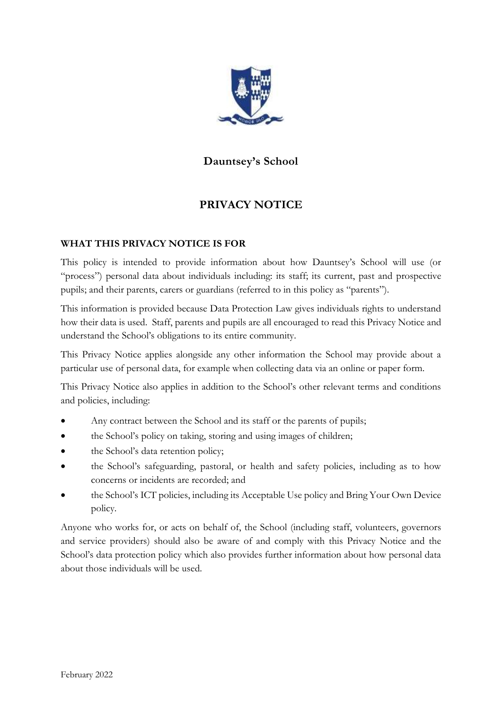

# **Dauntsey's School**

# **PRIVACY NOTICE**

## **WHAT THIS PRIVACY NOTICE IS FOR**

This policy is intended to provide information about how Dauntsey's School will use (or "process") personal data about individuals including: its staff; its current, past and prospective pupils; and their parents, carers or guardians (referred to in this policy as "parents").

This information is provided because Data Protection Law gives individuals rights to understand how their data is used. Staff, parents and pupils are all encouraged to read this Privacy Notice and understand the School's obligations to its entire community.

This Privacy Notice applies alongside any other information the School may provide about a particular use of personal data, for example when collecting data via an online or paper form.

This Privacy Notice also applies in addition to the School's other relevant terms and conditions and policies, including:

- Any contract between the School and its staff or the parents of pupils;
- the School's policy on taking, storing and using images of children;
- the School's data retention policy;
- the School's safeguarding, pastoral, or health and safety policies, including as to how concerns or incidents are recorded; and
- the School's ICT policies, including its Acceptable Use policy and Bring Your Own Device policy.

Anyone who works for, or acts on behalf of, the School (including staff, volunteers, governors and service providers) should also be aware of and comply with this Privacy Notice and the School's data protection policy which also provides further information about how personal data about those individuals will be used.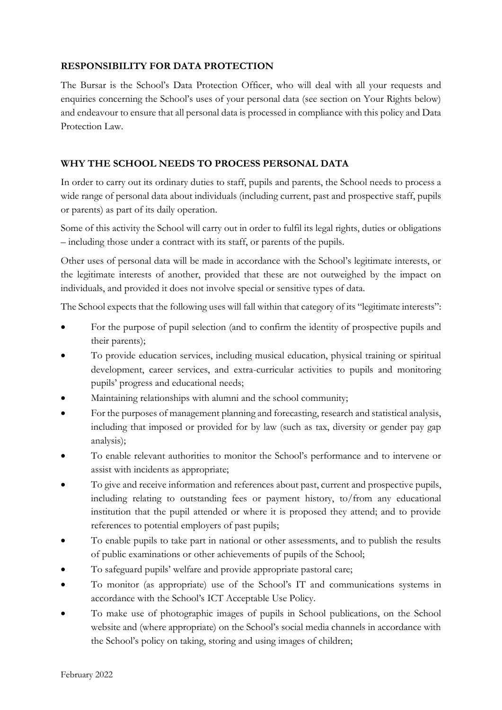## **RESPONSIBILITY FOR DATA PROTECTION**

The Bursar is the School's Data Protection Officer, who will deal with all your requests and enquiries concerning the School's uses of your personal data (see section on Your Rights below) and endeavour to ensure that all personal data is processed in compliance with this policy and Data Protection Law.

## **WHY THE SCHOOL NEEDS TO PROCESS PERSONAL DATA**

In order to carry out its ordinary duties to staff, pupils and parents, the School needs to process a wide range of personal data about individuals (including current, past and prospective staff, pupils or parents) as part of its daily operation.

Some of this activity the School will carry out in order to fulfil its legal rights, duties or obligations – including those under a contract with its staff, or parents of the pupils.

Other uses of personal data will be made in accordance with the School's legitimate interests, or the legitimate interests of another, provided that these are not outweighed by the impact on individuals, and provided it does not involve special or sensitive types of data.

The School expects that the following uses will fall within that category of its "legitimate interests":

- For the purpose of pupil selection (and to confirm the identity of prospective pupils and their parents);
- To provide education services, including musical education, physical training or spiritual development, career services, and extra-curricular activities to pupils and monitoring pupils' progress and educational needs;
- Maintaining relationships with alumni and the school community;
- For the purposes of management planning and forecasting, research and statistical analysis, including that imposed or provided for by law (such as tax, diversity or gender pay gap analysis);
- To enable relevant authorities to monitor the School's performance and to intervene or assist with incidents as appropriate;
- To give and receive information and references about past, current and prospective pupils, including relating to outstanding fees or payment history, to/from any educational institution that the pupil attended or where it is proposed they attend; and to provide references to potential employers of past pupils;
- To enable pupils to take part in national or other assessments, and to publish the results of public examinations or other achievements of pupils of the School;
- To safeguard pupils' welfare and provide appropriate pastoral care;
- To monitor (as appropriate) use of the School's IT and communications systems in accordance with the School's ICT Acceptable Use Policy.
- To make use of photographic images of pupils in School publications, on the School website and (where appropriate) on the School's social media channels in accordance with the School's policy on taking, storing and using images of children;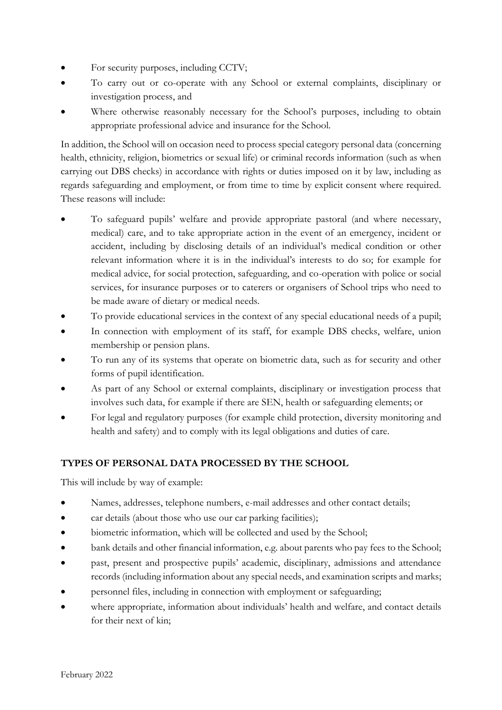- For security purposes, including CCTV;
- To carry out or co-operate with any School or external complaints, disciplinary or investigation process, and
- Where otherwise reasonably necessary for the School's purposes, including to obtain appropriate professional advice and insurance for the School.

In addition, the School will on occasion need to process special category personal data (concerning health, ethnicity, religion, biometrics or sexual life) or criminal records information (such as when carrying out DBS checks) in accordance with rights or duties imposed on it by law, including as regards safeguarding and employment, or from time to time by explicit consent where required. These reasons will include:

- To safeguard pupils' welfare and provide appropriate pastoral (and where necessary, medical) care, and to take appropriate action in the event of an emergency, incident or accident, including by disclosing details of an individual's medical condition or other relevant information where it is in the individual's interests to do so; for example for medical advice, for social protection, safeguarding, and co-operation with police or social services, for insurance purposes or to caterers or organisers of School trips who need to be made aware of dietary or medical needs.
- To provide educational services in the context of any special educational needs of a pupil;
- In connection with employment of its staff, for example DBS checks, welfare, union membership or pension plans.
- To run any of its systems that operate on biometric data, such as for security and other forms of pupil identification.
- As part of any School or external complaints, disciplinary or investigation process that involves such data, for example if there are SEN, health or safeguarding elements; or
- For legal and regulatory purposes (for example child protection, diversity monitoring and health and safety) and to comply with its legal obligations and duties of care.

# **TYPES OF PERSONAL DATA PROCESSED BY THE SCHOOL**

This will include by way of example:

- Names, addresses, telephone numbers, e-mail addresses and other contact details;
- car details (about those who use our car parking facilities);
- biometric information, which will be collected and used by the School;
- bank details and other financial information, e.g. about parents who pay fees to the School;
- past, present and prospective pupils' academic, disciplinary, admissions and attendance records (including information about any special needs, and examination scripts and marks;
- personnel files, including in connection with employment or safeguarding;
- where appropriate, information about individuals' health and welfare, and contact details for their next of kin;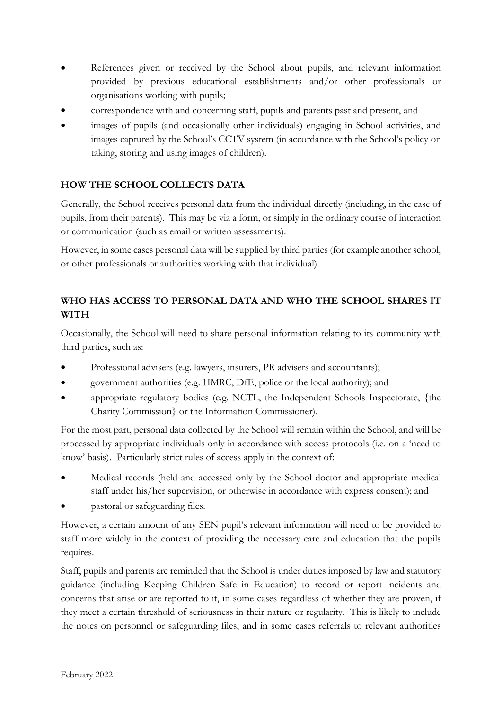- References given or received by the School about pupils, and relevant information provided by previous educational establishments and/or other professionals or organisations working with pupils;
- correspondence with and concerning staff, pupils and parents past and present, and
- images of pupils (and occasionally other individuals) engaging in School activities, and images captured by the School's CCTV system (in accordance with the School's policy on taking, storing and using images of children).

# **HOW THE SCHOOL COLLECTS DATA**

Generally, the School receives personal data from the individual directly (including, in the case of pupils, from their parents). This may be via a form, or simply in the ordinary course of interaction or communication (such as email or written assessments).

However, in some cases personal data will be supplied by third parties (for example another school, or other professionals or authorities working with that individual).

# **WHO HAS ACCESS TO PERSONAL DATA AND WHO THE SCHOOL SHARES IT WITH**

Occasionally, the School will need to share personal information relating to its community with third parties, such as:

- Professional advisers (e.g. lawyers, insurers, PR advisers and accountants);
- government authorities (e.g. HMRC, DfE, police or the local authority); and
- appropriate regulatory bodies (e.g. NCTL, the Independent Schools Inspectorate, {the Charity Commission} or the Information Commissioner).

For the most part, personal data collected by the School will remain within the School, and will be processed by appropriate individuals only in accordance with access protocols (i.e. on a 'need to know' basis). Particularly strict rules of access apply in the context of:

- Medical records (held and accessed only by the School doctor and appropriate medical staff under his/her supervision, or otherwise in accordance with express consent); and
- pastoral or safeguarding files.

However, a certain amount of any SEN pupil's relevant information will need to be provided to staff more widely in the context of providing the necessary care and education that the pupils requires.

Staff, pupils and parents are reminded that the School is under duties imposed by law and statutory guidance (including Keeping Children Safe in Education) to record or report incidents and concerns that arise or are reported to it, in some cases regardless of whether they are proven, if they meet a certain threshold of seriousness in their nature or regularity. This is likely to include the notes on personnel or safeguarding files, and in some cases referrals to relevant authorities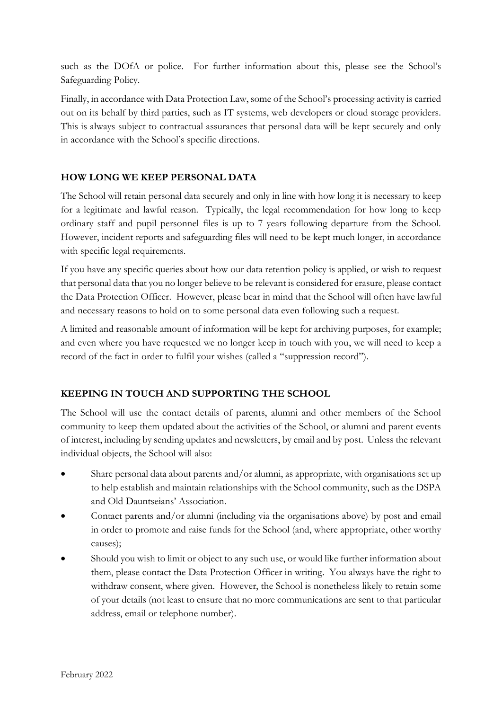such as the DOfA or police. For further information about this, please see the School's Safeguarding Policy.

Finally, in accordance with Data Protection Law, some of the School's processing activity is carried out on its behalf by third parties, such as IT systems, web developers or cloud storage providers. This is always subject to contractual assurances that personal data will be kept securely and only in accordance with the School's specific directions.

## **HOW LONG WE KEEP PERSONAL DATA**

The School will retain personal data securely and only in line with how long it is necessary to keep for a legitimate and lawful reason. Typically, the legal recommendation for how long to keep ordinary staff and pupil personnel files is up to 7 years following departure from the School. However, incident reports and safeguarding files will need to be kept much longer, in accordance with specific legal requirements.

If you have any specific queries about how our data retention policy is applied, or wish to request that personal data that you no longer believe to be relevant is considered for erasure, please contact the Data Protection Officer. However, please bear in mind that the School will often have lawful and necessary reasons to hold on to some personal data even following such a request.

A limited and reasonable amount of information will be kept for archiving purposes, for example; and even where you have requested we no longer keep in touch with you, we will need to keep a record of the fact in order to fulfil your wishes (called a "suppression record").

# **KEEPING IN TOUCH AND SUPPORTING THE SCHOOL**

The School will use the contact details of parents, alumni and other members of the School community to keep them updated about the activities of the School, or alumni and parent events of interest, including by sending updates and newsletters, by email and by post. Unless the relevant individual objects, the School will also:

- Share personal data about parents and/or alumni, as appropriate, with organisations set up to help establish and maintain relationships with the School community, such as the DSPA and Old Dauntseians' Association.
- Contact parents and/or alumni (including via the organisations above) by post and email in order to promote and raise funds for the School (and, where appropriate, other worthy causes);
- Should you wish to limit or object to any such use, or would like further information about them, please contact the Data Protection Officer in writing. You always have the right to withdraw consent, where given. However, the School is nonetheless likely to retain some of your details (not least to ensure that no more communications are sent to that particular address, email or telephone number).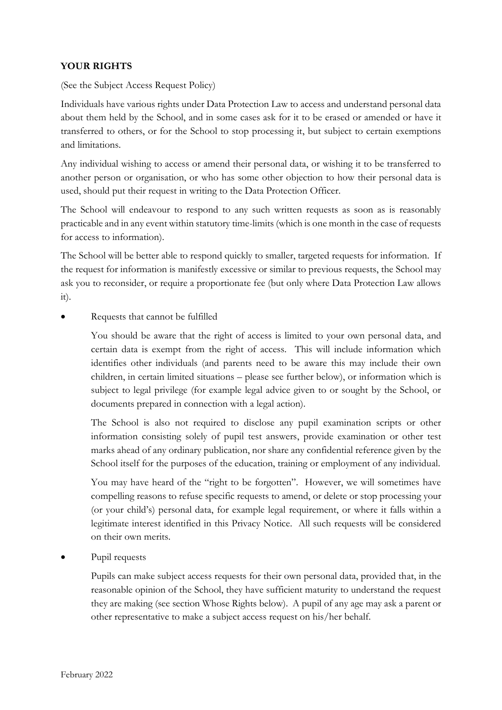### **YOUR RIGHTS**

(See the Subject Access Request Policy)

Individuals have various rights under Data Protection Law to access and understand personal data about them held by the School, and in some cases ask for it to be erased or amended or have it transferred to others, or for the School to stop processing it, but subject to certain exemptions and limitations.

Any individual wishing to access or amend their personal data, or wishing it to be transferred to another person or organisation, or who has some other objection to how their personal data is used, should put their request in writing to the Data Protection Officer.

The School will endeavour to respond to any such written requests as soon as is reasonably practicable and in any event within statutory time-limits (which is one month in the case of requests for access to information).

The School will be better able to respond quickly to smaller, targeted requests for information. If the request for information is manifestly excessive or similar to previous requests, the School may ask you to reconsider, or require a proportionate fee (but only where Data Protection Law allows  $it)$ .

• Requests that cannot be fulfilled

You should be aware that the right of access is limited to your own personal data, and certain data is exempt from the right of access. This will include information which identifies other individuals (and parents need to be aware this may include their own children, in certain limited situations – please see further below), or information which is subject to legal privilege (for example legal advice given to or sought by the School, or documents prepared in connection with a legal action).

The School is also not required to disclose any pupil examination scripts or other information consisting solely of pupil test answers, provide examination or other test marks ahead of any ordinary publication, nor share any confidential reference given by the School itself for the purposes of the education, training or employment of any individual.

You may have heard of the "right to be forgotten". However, we will sometimes have compelling reasons to refuse specific requests to amend, or delete or stop processing your (or your child's) personal data, for example legal requirement, or where it falls within a legitimate interest identified in this Privacy Notice. All such requests will be considered on their own merits.

Pupil requests

Pupils can make subject access requests for their own personal data, provided that, in the reasonable opinion of the School, they have sufficient maturity to understand the request they are making (see section Whose Rights below). A pupil of any age may ask a parent or other representative to make a subject access request on his/her behalf.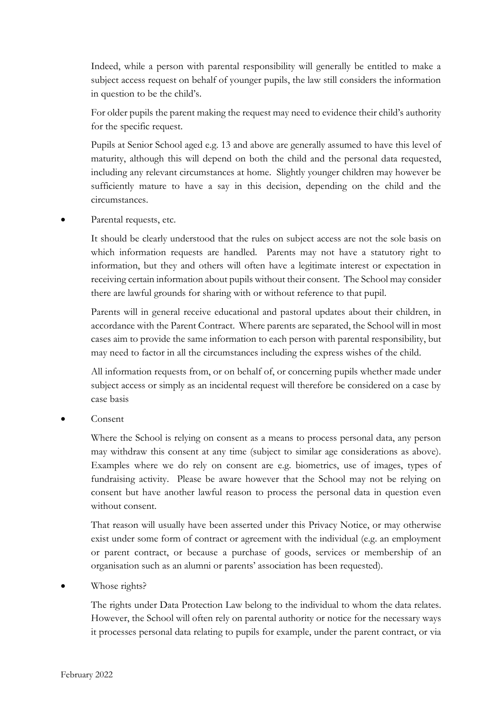Indeed, while a person with parental responsibility will generally be entitled to make a subject access request on behalf of younger pupils, the law still considers the information in question to be the child's.

For older pupils the parent making the request may need to evidence their child's authority for the specific request.

Pupils at Senior School aged e.g. 13 and above are generally assumed to have this level of maturity, although this will depend on both the child and the personal data requested, including any relevant circumstances at home. Slightly younger children may however be sufficiently mature to have a say in this decision, depending on the child and the circumstances.

Parental requests, etc.

It should be clearly understood that the rules on subject access are not the sole basis on which information requests are handled. Parents may not have a statutory right to information, but they and others will often have a legitimate interest or expectation in receiving certain information about pupils without their consent. The School may consider there are lawful grounds for sharing with or without reference to that pupil.

Parents will in general receive educational and pastoral updates about their children, in accordance with the Parent Contract. Where parents are separated, the School will in most cases aim to provide the same information to each person with parental responsibility, but may need to factor in all the circumstances including the express wishes of the child.

All information requests from, or on behalf of, or concerning pupils whether made under subject access or simply as an incidental request will therefore be considered on a case by case basis

• Consent

Where the School is relying on consent as a means to process personal data, any person may withdraw this consent at any time (subject to similar age considerations as above). Examples where we do rely on consent are e.g. biometrics, use of images, types of fundraising activity. Please be aware however that the School may not be relying on consent but have another lawful reason to process the personal data in question even without consent.

That reason will usually have been asserted under this Privacy Notice, or may otherwise exist under some form of contract or agreement with the individual (e.g. an employment or parent contract, or because a purchase of goods, services or membership of an organisation such as an alumni or parents' association has been requested).

Whose rights?

The rights under Data Protection Law belong to the individual to whom the data relates. However, the School will often rely on parental authority or notice for the necessary ways it processes personal data relating to pupils for example, under the parent contract, or via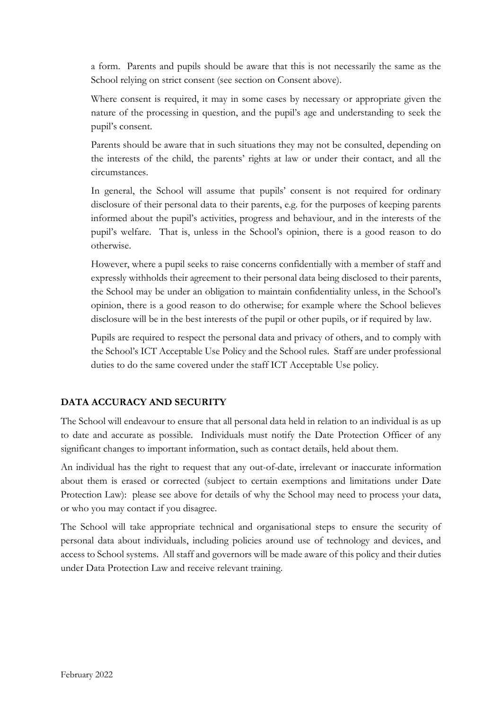a form. Parents and pupils should be aware that this is not necessarily the same as the School relying on strict consent (see section on Consent above).

Where consent is required, it may in some cases by necessary or appropriate given the nature of the processing in question, and the pupil's age and understanding to seek the pupil's consent.

Parents should be aware that in such situations they may not be consulted, depending on the interests of the child, the parents' rights at law or under their contact, and all the circumstances.

In general, the School will assume that pupils' consent is not required for ordinary disclosure of their personal data to their parents, e.g. for the purposes of keeping parents informed about the pupil's activities, progress and behaviour, and in the interests of the pupil's welfare. That is, unless in the School's opinion, there is a good reason to do otherwise.

However, where a pupil seeks to raise concerns confidentially with a member of staff and expressly withholds their agreement to their personal data being disclosed to their parents, the School may be under an obligation to maintain confidentiality unless, in the School's opinion, there is a good reason to do otherwise; for example where the School believes disclosure will be in the best interests of the pupil or other pupils, or if required by law.

Pupils are required to respect the personal data and privacy of others, and to comply with the School's ICT Acceptable Use Policy and the School rules. Staff are under professional duties to do the same covered under the staff ICT Acceptable Use policy.

### **DATA ACCURACY AND SECURITY**

The School will endeavour to ensure that all personal data held in relation to an individual is as up to date and accurate as possible. Individuals must notify the Date Protection Officer of any significant changes to important information, such as contact details, held about them.

An individual has the right to request that any out-of-date, irrelevant or inaccurate information about them is erased or corrected (subject to certain exemptions and limitations under Date Protection Law): please see above for details of why the School may need to process your data, or who you may contact if you disagree.

The School will take appropriate technical and organisational steps to ensure the security of personal data about individuals, including policies around use of technology and devices, and access to School systems. All staff and governors will be made aware of this policy and their duties under Data Protection Law and receive relevant training.